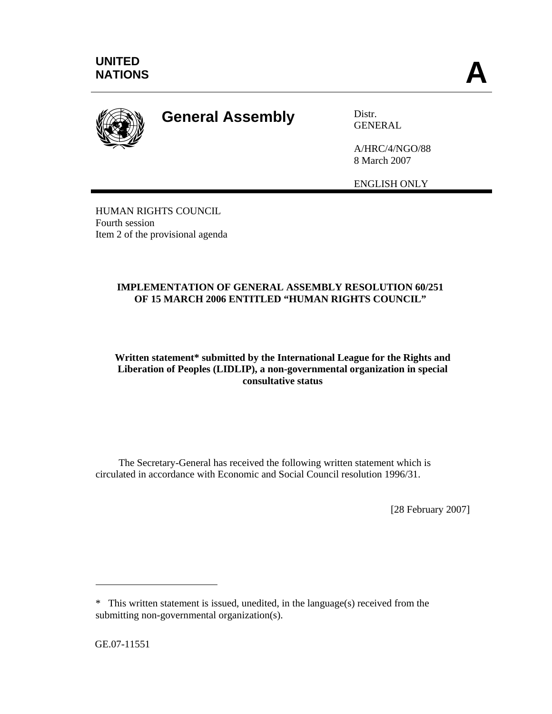

## **General Assembly** Distr.

GENERAL

A/HRC/4/NGO/88 8 March 2007

ENGLISH ONLY

HUMAN RIGHTS COUNCIL Fourth session Item 2 of the provisional agenda

## **IMPLEMENTATION OF GENERAL ASSEMBLY RESOLUTION 60/251 OF 15 MARCH 2006 ENTITLED "HUMAN RIGHTS COUNCIL"**

## **Written statement\* submitted by the International League for the Rights and Liberation of Peoples (LIDLIP), a non-governmental organization in special consultative status**

 The Secretary-General has received the following written statement which is circulated in accordance with Economic and Social Council resolution 1996/31.

[28 February 2007]

GE.07-11551

 $\overline{a}$ 

<sup>\*</sup> This written statement is issued, unedited, in the language(s) received from the submitting non-governmental organization(s).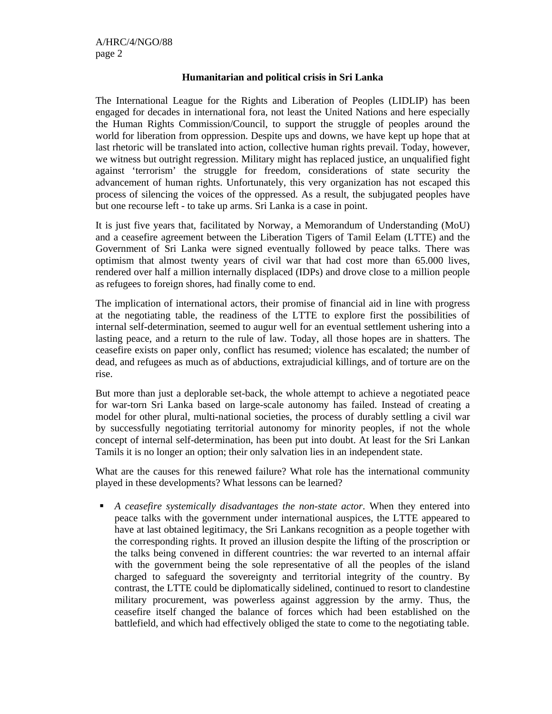## **Humanitarian and political crisis in Sri Lanka**

The International League for the Rights and Liberation of Peoples (LIDLIP) has been engaged for decades in international fora, not least the United Nations and here especially the Human Rights Commission/Council, to support the struggle of peoples around the world for liberation from oppression. Despite ups and downs, we have kept up hope that at last rhetoric will be translated into action, collective human rights prevail. Today, however, we witness but outright regression. Military might has replaced justice, an unqualified fight against 'terrorism' the struggle for freedom, considerations of state security the advancement of human rights. Unfortunately, this very organization has not escaped this process of silencing the voices of the oppressed. As a result, the subjugated peoples have but one recourse left - to take up arms. Sri Lanka is a case in point.

It is just five years that, facilitated by Norway, a Memorandum of Understanding (MoU) and a ceasefire agreement between the Liberation Tigers of Tamil Eelam (LTTE) and the Government of Sri Lanka were signed eventually followed by peace talks. There was optimism that almost twenty years of civil war that had cost more than 65.000 lives, rendered over half a million internally displaced (IDPs) and drove close to a million people as refugees to foreign shores, had finally come to end.

The implication of international actors, their promise of financial aid in line with progress at the negotiating table, the readiness of the LTTE to explore first the possibilities of internal self-determination, seemed to augur well for an eventual settlement ushering into a lasting peace, and a return to the rule of law. Today, all those hopes are in shatters. The ceasefire exists on paper only, conflict has resumed; violence has escalated; the number of dead, and refugees as much as of abductions, extrajudicial killings, and of torture are on the rise.

But more than just a deplorable set-back, the whole attempt to achieve a negotiated peace for war-torn Sri Lanka based on large-scale autonomy has failed. Instead of creating a model for other plural, multi-national societies, the process of durably settling a civil war by successfully negotiating territorial autonomy for minority peoples, if not the whole concept of internal self-determination, has been put into doubt. At least for the Sri Lankan Tamils it is no longer an option; their only salvation lies in an independent state.

What are the causes for this renewed failure? What role has the international community played in these developments? What lessons can be learned?

 *A ceasefire systemically disadvantages the non-state actor*. When they entered into peace talks with the government under international auspices, the LTTE appeared to have at last obtained legitimacy, the Sri Lankans recognition as a people together with the corresponding rights. It proved an illusion despite the lifting of the proscription or the talks being convened in different countries: the war reverted to an internal affair with the government being the sole representative of all the peoples of the island charged to safeguard the sovereignty and territorial integrity of the country. By contrast, the LTTE could be diplomatically sidelined, continued to resort to clandestine military procurement, was powerless against aggression by the army. Thus, the ceasefire itself changed the balance of forces which had been established on the battlefield, and which had effectively obliged the state to come to the negotiating table.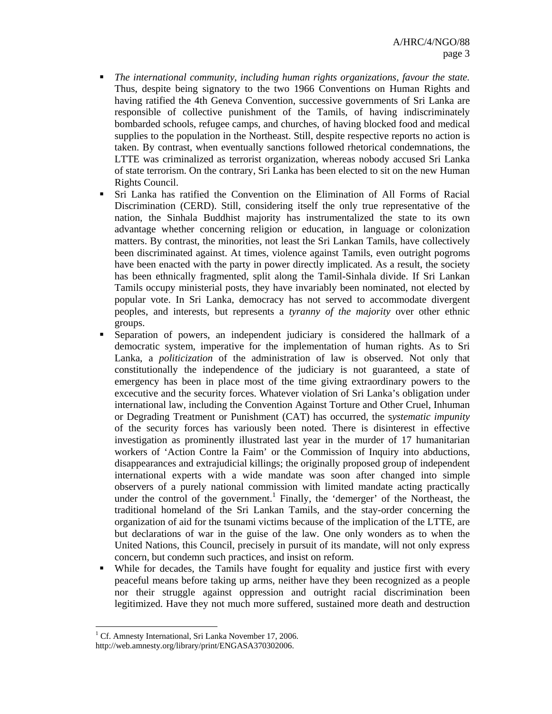- *The international community, including human rights organizations, favour the state.*  Thus, despite being signatory to the two 1966 Conventions on Human Rights and having ratified the 4th Geneva Convention, successive governments of Sri Lanka are responsible of collective punishment of the Tamils, of having indiscriminately bombarded schools, refugee camps, and churches, of having blocked food and medical supplies to the population in the Northeast. Still, despite respective reports no action is taken. By contrast, when eventually sanctions followed rhetorical condemnations, the LTTE was criminalized as terrorist organization, whereas nobody accused Sri Lanka of state terrorism. On the contrary, Sri Lanka has been elected to sit on the new Human Rights Council.
- Sri Lanka has ratified the Convention on the Elimination of All Forms of Racial Discrimination (CERD). Still, considering itself the only true representative of the nation, the Sinhala Buddhist majority has instrumentalized the state to its own advantage whether concerning religion or education, in language or colonization matters. By contrast, the minorities, not least the Sri Lankan Tamils, have collectively been discriminated against. At times, violence against Tamils, even outright pogroms have been enacted with the party in power directly implicated. As a result, the society has been ethnically fragmented, split along the Tamil-Sinhala divide. If Sri Lankan Tamils occupy ministerial posts, they have invariably been nominated, not elected by popular vote. In Sri Lanka, democracy has not served to accommodate divergent peoples, and interests, but represents a *tyranny of the majority* over other ethnic groups.
- Separation of powers, an independent judiciary is considered the hallmark of a democratic system, imperative for the implementation of human rights. As to Sri Lanka, a *politicization* of the administration of law is observed. Not only that constitutionally the independence of the judiciary is not guaranteed, a state of emergency has been in place most of the time giving extraordinary powers to the excecutive and the security forces. Whatever violation of Sri Lanka's obligation under international law, including the Convention Against Torture and Other Cruel, Inhuman or Degrading Treatment or Punishment (CAT) has occurred, the s*ystematic impunity* of the security forces has variously been noted. There is disinterest in effective investigation as prominently illustrated last year in the murder of 17 humanitarian workers of 'Action Contre la Faim' or the Commission of Inquiry into abductions, disappearances and extrajudicial killings; the originally proposed group of independent international experts with a wide mandate was soon after changed into simple observers of a purely national commission with limited mandate acting practically under the control of the government.<sup>1</sup> Finally, the 'demerger' of the Northeast, the traditional homeland of the Sri Lankan Tamils, and the stay-order concerning the organization of aid for the tsunami victims because of the implication of the LTTE, are but declarations of war in the guise of the law. One only wonders as to when the United Nations, this Council, precisely in pursuit of its mandate, will not only express concern, but condemn such practices, and insist on reform.
- While for decades, the Tamils have fought for equality and justice first with every peaceful means before taking up arms, neither have they been recognized as a people nor their struggle against oppression and outright racial discrimination been legitimized. Have they not much more suffered, sustained more death and destruction

 <sup>1</sup> Cf. Amnesty International, Sri Lanka November 17, 2006.

http://web.amnesty.org/library/print/ENGASA370302006.